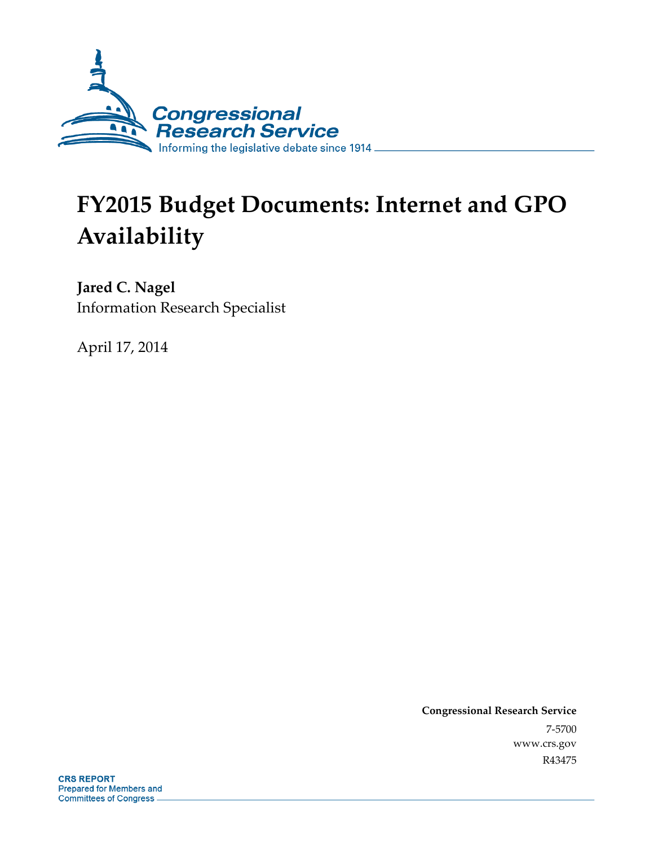

# **FY2015 Budget Documents: Internet and GPO Availability**

**Jared C. Nagel**  Information Research Specialist

April 17, 2014

**Congressional Research Service**  7-5700 www.crs.gov R43475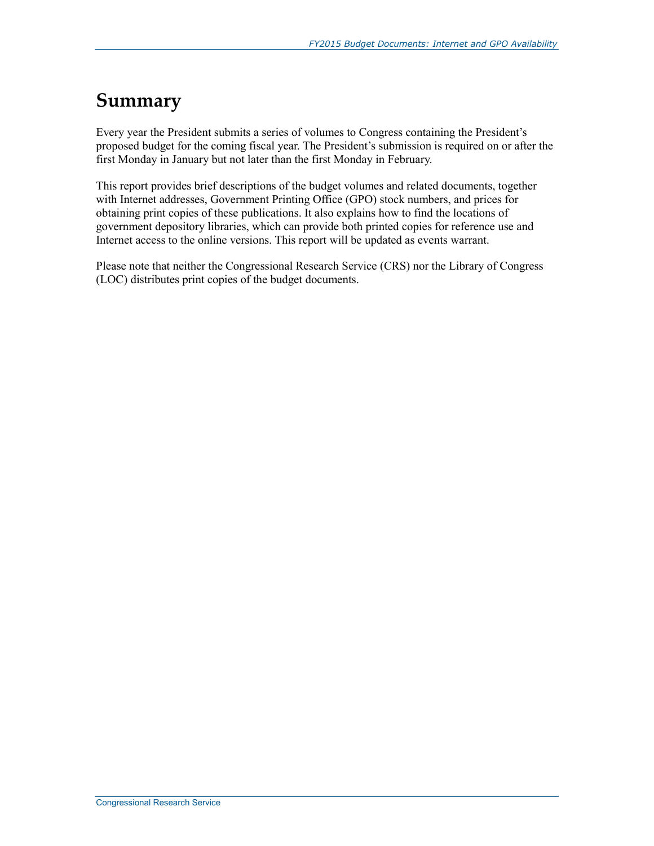### **Summary**

Every year the President submits a series of volumes to Congress containing the President's proposed budget for the coming fiscal year. The President's submission is required on or after the first Monday in January but not later than the first Monday in February.

This report provides brief descriptions of the budget volumes and related documents, together with Internet addresses, Government Printing Office (GPO) stock numbers, and prices for obtaining print copies of these publications. It also explains how to find the locations of government depository libraries, which can provide both printed copies for reference use and Internet access to the online versions. This report will be updated as events warrant.

Please note that neither the Congressional Research Service (CRS) nor the Library of Congress (LOC) distributes print copies of the budget documents.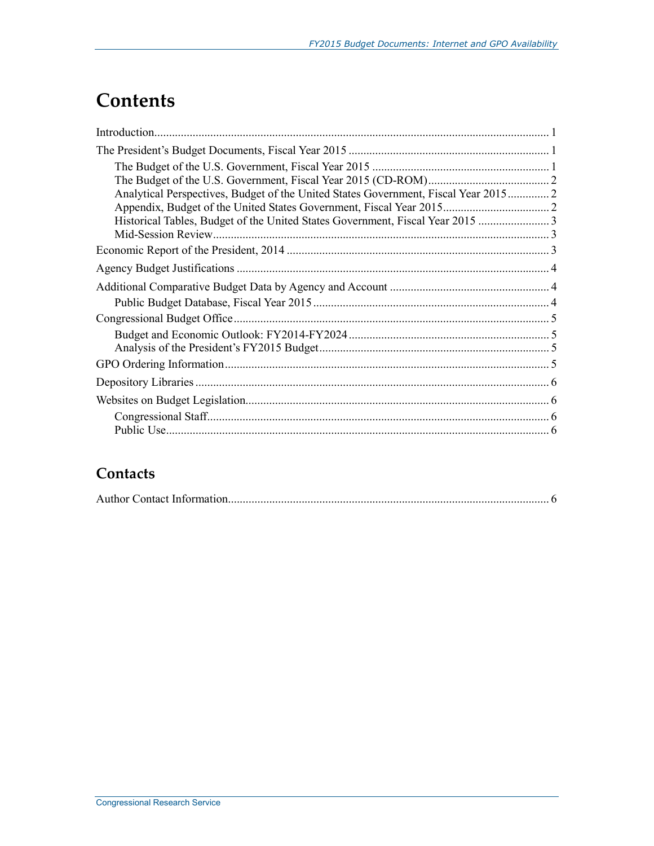## **Contents**

| Analytical Perspectives, Budget of the United States Government, Fiscal Year 2015 2 |  |
|-------------------------------------------------------------------------------------|--|
|                                                                                     |  |
| Historical Tables, Budget of the United States Government, Fiscal Year 2015         |  |
|                                                                                     |  |
|                                                                                     |  |
|                                                                                     |  |
|                                                                                     |  |
|                                                                                     |  |
|                                                                                     |  |
|                                                                                     |  |
|                                                                                     |  |
|                                                                                     |  |
|                                                                                     |  |
|                                                                                     |  |
|                                                                                     |  |
|                                                                                     |  |
|                                                                                     |  |

### **Contacts**

|--|--|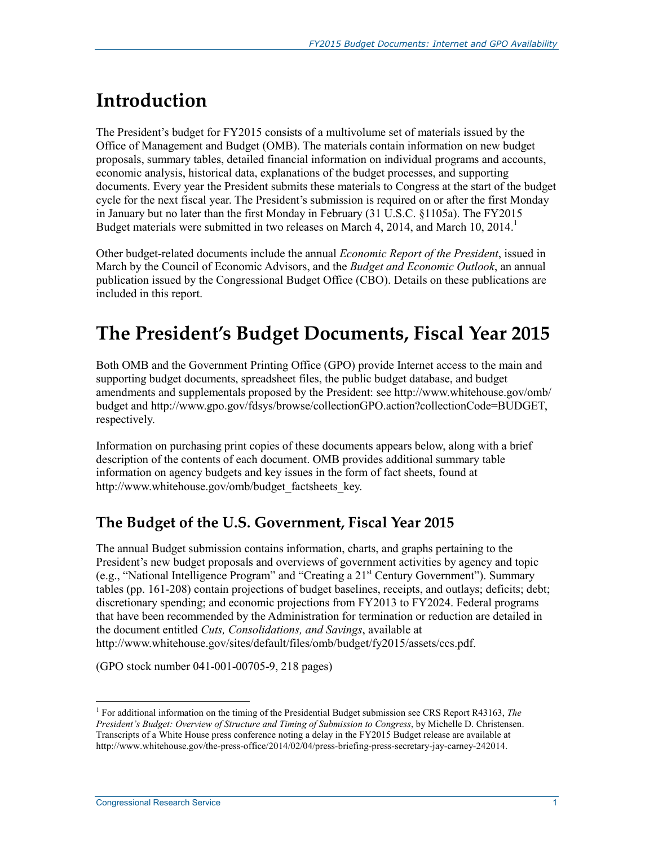# **Introduction**

The President's budget for FY2015 consists of a multivolume set of materials issued by the Office of Management and Budget (OMB). The materials contain information on new budget proposals, summary tables, detailed financial information on individual programs and accounts, economic analysis, historical data, explanations of the budget processes, and supporting documents. Every year the President submits these materials to Congress at the start of the budget cycle for the next fiscal year. The President's submission is required on or after the first Monday in January but no later than the first Monday in February (31 U.S.C. §1105a). The FY2015 Budget materials were submitted in two releases on March 4, 2014, and March 10, 2014.<sup>1</sup>

Other budget-related documents include the annual *Economic Report of the President*, issued in March by the Council of Economic Advisors, and the *Budget and Economic Outlook*, an annual publication issued by the Congressional Budget Office (CBO). Details on these publications are included in this report.

## **The President's Budget Documents, Fiscal Year 2015**

Both OMB and the Government Printing Office (GPO) provide Internet access to the main and supporting budget documents, spreadsheet files, the public budget database, and budget amendments and supplementals proposed by the President: see http://www.whitehouse.gov/omb/ budget and http://www.gpo.gov/fdsys/browse/collectionGPO.action?collectionCode=BUDGET, respectively.

Information on purchasing print copies of these documents appears below, along with a brief description of the contents of each document. OMB provides additional summary table information on agency budgets and key issues in the form of fact sheets, found at http://www.whitehouse.gov/omb/budget\_factsheets\_key.

#### **The Budget of the U.S. Government, Fiscal Year 2015**

The annual Budget submission contains information, charts, and graphs pertaining to the President's new budget proposals and overviews of government activities by agency and topic (e.g., "National Intelligence Program" and "Creating a 21st Century Government"). Summary tables (pp. 161-208) contain projections of budget baselines, receipts, and outlays; deficits; debt; discretionary spending; and economic projections from FY2013 to FY2024. Federal programs that have been recommended by the Administration for termination or reduction are detailed in the document entitled *Cuts, Consolidations, and Savings*, available at http://www.whitehouse.gov/sites/default/files/omb/budget/fy2015/assets/ccs.pdf.

(GPO stock number 041-001-00705-9, 218 pages)

<sup>1</sup> 1 For additional information on the timing of the Presidential Budget submission see CRS Report R43163, *The President's Budget: Overview of Structure and Timing of Submission to Congress*, by Michelle D. Christensen. Transcripts of a White House press conference noting a delay in the FY2015 Budget release are available at http://www.whitehouse.gov/the-press-office/2014/02/04/press-briefing-press-secretary-jay-carney-242014.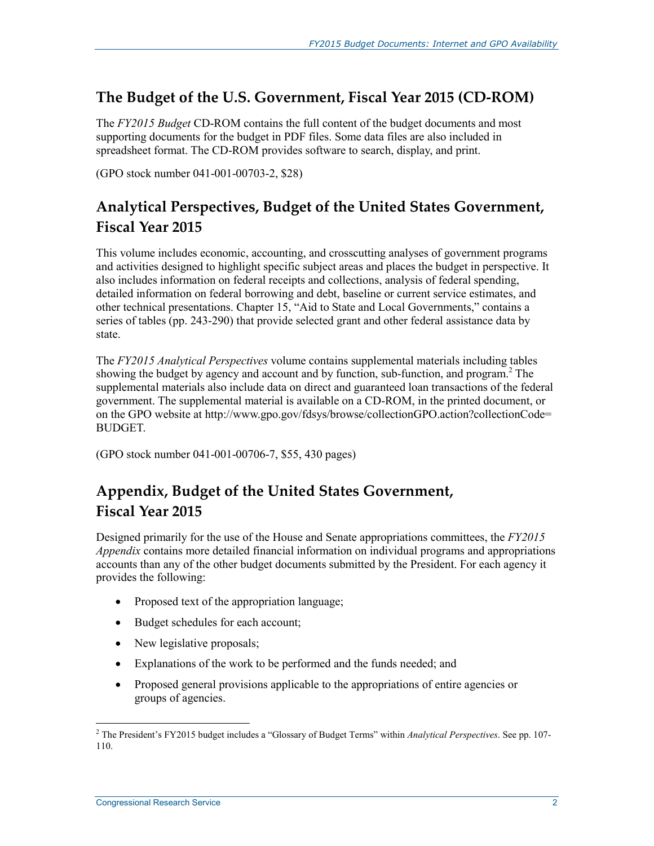#### **The Budget of the U.S. Government, Fiscal Year 2015 (CD-ROM)**

The *FY2015 Budget* CD-ROM contains the full content of the budget documents and most supporting documents for the budget in PDF files. Some data files are also included in spreadsheet format. The CD-ROM provides software to search, display, and print.

(GPO stock number 041-001-00703-2, \$28)

### **Analytical Perspectives, Budget of the United States Government, Fiscal Year 2015**

This volume includes economic, accounting, and crosscutting analyses of government programs and activities designed to highlight specific subject areas and places the budget in perspective. It also includes information on federal receipts and collections, analysis of federal spending, detailed information on federal borrowing and debt, baseline or current service estimates, and other technical presentations. Chapter 15, "Aid to State and Local Governments," contains a series of tables (pp. 243-290) that provide selected grant and other federal assistance data by state.

The *FY2015 Analytical Perspectives* volume contains supplemental materials including tables showing the budget by agency and account and by function, sub-function, and program.<sup>2</sup> The supplemental materials also include data on direct and guaranteed loan transactions of the federal government. The supplemental material is available on a CD-ROM, in the printed document, or on the GPO website at http://www.gpo.gov/fdsys/browse/collectionGPO.action?collectionCode= BUDGET.

(GPO stock number 041-001-00706-7, \$55, 430 pages)

#### **Appendix, Budget of the United States Government, Fiscal Year 2015**

Designed primarily for the use of the House and Senate appropriations committees, the *FY2015 Appendix* contains more detailed financial information on individual programs and appropriations accounts than any of the other budget documents submitted by the President. For each agency it provides the following:

- Proposed text of the appropriation language;
- Budget schedules for each account;
- New legislative proposals;
- Explanations of the work to be performed and the funds needed; and
- Proposed general provisions applicable to the appropriations of entire agencies or groups of agencies.

 2 The President's FY2015 budget includes a "Glossary of Budget Terms" within *Analytical Perspectives*. See pp. 107- 110.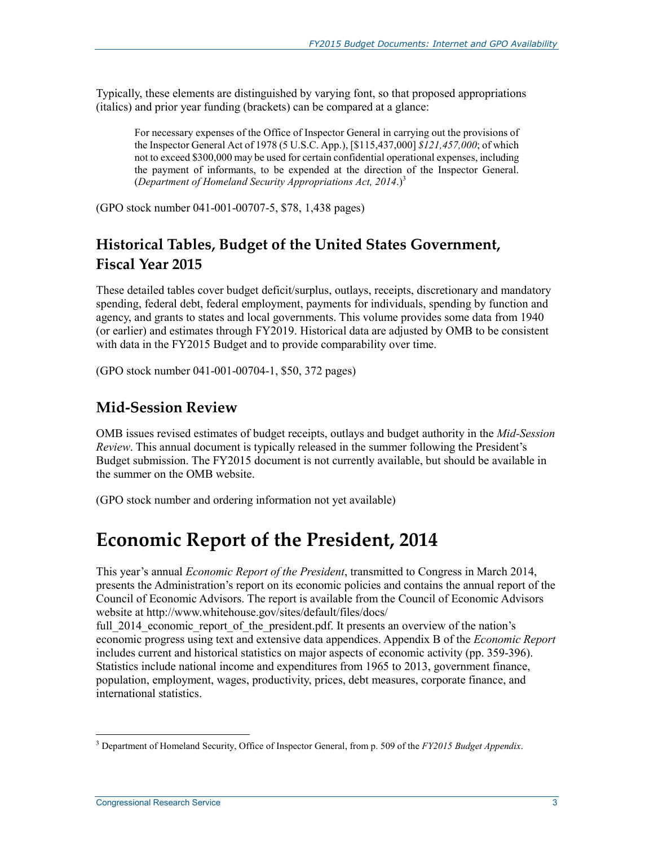Typically, these elements are distinguished by varying font, so that proposed appropriations (italics) and prior year funding (brackets) can be compared at a glance:

For necessary expenses of the Office of Inspector General in carrying out the provisions of the Inspector General Act of 1978 (5 U.S.C. App.), [\$115,437,000] *\$121,457,000*; of which not to exceed \$300,000 may be used for certain confidential operational expenses, including the payment of informants, to be expended at the direction of the Inspector General. (*Department of Homeland Security Appropriations Act, 2014*.)3

(GPO stock number 041-001-00707-5, \$78, 1,438 pages)

### **Historical Tables, Budget of the United States Government, Fiscal Year 2015**

These detailed tables cover budget deficit/surplus, outlays, receipts, discretionary and mandatory spending, federal debt, federal employment, payments for individuals, spending by function and agency, and grants to states and local governments. This volume provides some data from 1940 (or earlier) and estimates through FY2019. Historical data are adjusted by OMB to be consistent with data in the FY2015 Budget and to provide comparability over time.

(GPO stock number 041-001-00704-1, \$50, 372 pages)

#### **Mid-Session Review**

OMB issues revised estimates of budget receipts, outlays and budget authority in the *Mid-Session Review*. This annual document is typically released in the summer following the President's Budget submission. The FY2015 document is not currently available, but should be available in the summer on the OMB website.

(GPO stock number and ordering information not yet available)

### **Economic Report of the President, 2014**

This year's annual *Economic Report of the President*, transmitted to Congress in March 2014, presents the Administration's report on its economic policies and contains the annual report of the Council of Economic Advisors. The report is available from the Council of Economic Advisors website at http://www.whitehouse.gov/sites/default/files/docs/

full 2014 economic report of the president.pdf. It presents an overview of the nation's economic progress using text and extensive data appendices. Appendix B of the *Economic Report* includes current and historical statistics on major aspects of economic activity (pp. 359-396). Statistics include national income and expenditures from 1965 to 2013, government finance, population, employment, wages, productivity, prices, debt measures, corporate finance, and international statistics.

 3 Department of Homeland Security, Office of Inspector General, from p. 509 of the *FY2015 Budget Appendix*.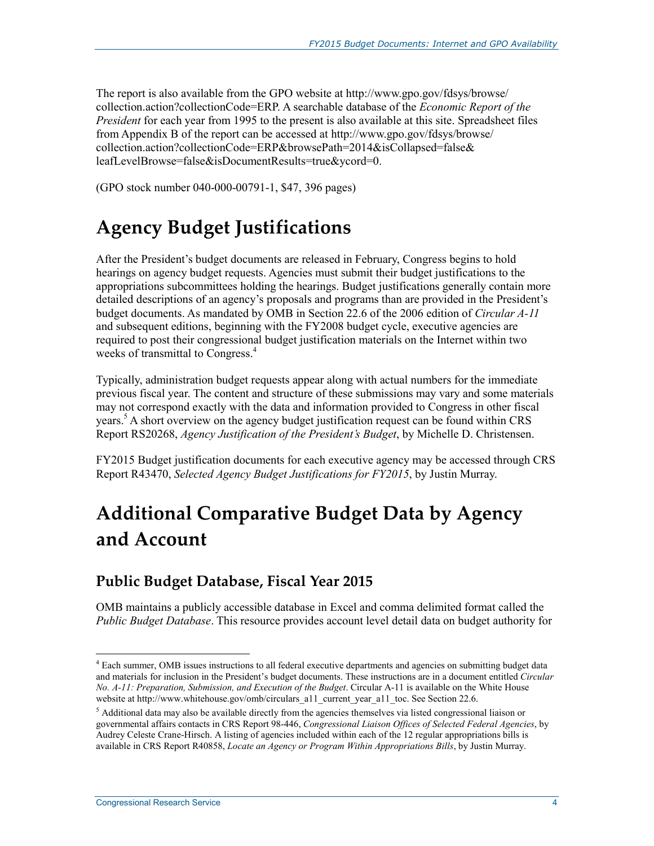The report is also available from the GPO website at http://www.gpo.gov/fdsys/browse/ collection.action?collectionCode=ERP. A searchable database of the *Economic Report of the President* for each year from 1995 to the present is also available at this site. Spreadsheet files from Appendix B of the report can be accessed at http://www.gpo.gov/fdsys/browse/ collection.action?collectionCode=ERP&browsePath=2014&isCollapsed=false& leafLevelBrowse=false&isDocumentResults=true&ycord=0.

(GPO stock number 040-000-00791-1, \$47, 396 pages)

## **Agency Budget Justifications**

After the President's budget documents are released in February, Congress begins to hold hearings on agency budget requests. Agencies must submit their budget justifications to the appropriations subcommittees holding the hearings. Budget justifications generally contain more detailed descriptions of an agency's proposals and programs than are provided in the President's budget documents. As mandated by OMB in Section 22.6 of the 2006 edition of *Circular A-11* and subsequent editions, beginning with the FY2008 budget cycle, executive agencies are required to post their congressional budget justification materials on the Internet within two weeks of transmittal to Congress.<sup>4</sup>

Typically, administration budget requests appear along with actual numbers for the immediate previous fiscal year. The content and structure of these submissions may vary and some materials may not correspond exactly with the data and information provided to Congress in other fiscal years.<sup>5</sup> A short overview on the agency budget justification request can be found within CRS Report RS20268, *Agency Justification of the President's Budget*, by Michelle D. Christensen.

FY2015 Budget justification documents for each executive agency may be accessed through CRS Report R43470, *Selected Agency Budget Justifications for FY2015*, by Justin Murray.

# **Additional Comparative Budget Data by Agency and Account**

#### **Public Budget Database, Fiscal Year 2015**

OMB maintains a publicly accessible database in Excel and comma delimited format called the *Public Budget Database*. This resource provides account level detail data on budget authority for

1

<sup>&</sup>lt;sup>4</sup> Each summer, OMB issues instructions to all federal executive departments and agencies on submitting budget data and materials for inclusion in the President's budget documents. These instructions are in a document entitled *Circular No. A-11: Preparation, Submission, and Execution of the Budget*. Circular A-11 is available on the White House website at http://www.whitehouse.gov/omb/circulars\_a11\_current\_year\_a11\_toc. See Section 22.6.

<sup>&</sup>lt;sup>5</sup> Additional data may also be available directly from the agencies themselves via listed congressional liaison or governmental affairs contacts in CRS Report 98-446, *Congressional Liaison Offices of Selected Federal Agencies*, by Audrey Celeste Crane-Hirsch. A listing of agencies included within each of the 12 regular appropriations bills is available in CRS Report R40858, *Locate an Agency or Program Within Appropriations Bills*, by Justin Murray.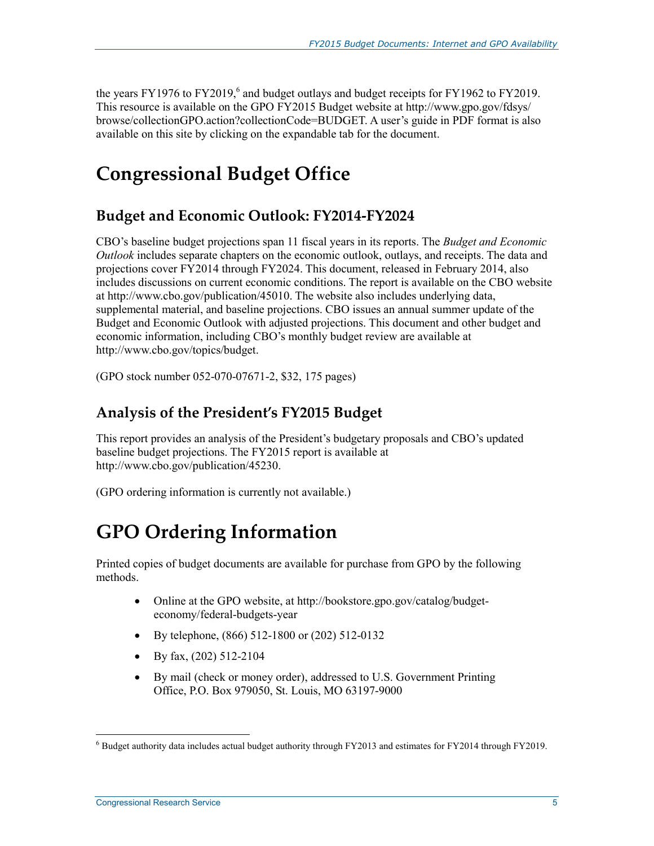the years FY1976 to FY2019, $^6$  and budget outlays and budget receipts for FY1962 to FY2019. This resource is available on the GPO FY2015 Budget website at http://www.gpo.gov/fdsys/ browse/collectionGPO.action?collectionCode=BUDGET. A user's guide in PDF format is also available on this site by clicking on the expandable tab for the document.

# **Congressional Budget Office**

#### **Budget and Economic Outlook: FY2014-FY2024**

CBO's baseline budget projections span 11 fiscal years in its reports. The *Budget and Economic Outlook* includes separate chapters on the economic outlook, outlays, and receipts. The data and projections cover FY2014 through FY2024. This document, released in February 2014, also includes discussions on current economic conditions. The report is available on the CBO website at http://www.cbo.gov/publication/45010. The website also includes underlying data, supplemental material, and baseline projections. CBO issues an annual summer update of the Budget and Economic Outlook with adjusted projections. This document and other budget and economic information, including CBO's monthly budget review are available at http://www.cbo.gov/topics/budget.

(GPO stock number 052-070-07671-2, \$32, 175 pages)

#### **Analysis of the President's FY2015 Budget**

This report provides an analysis of the President's budgetary proposals and CBO's updated baseline budget projections. The FY2015 report is available at http://www.cbo.gov/publication/45230.

(GPO ordering information is currently not available.)

## **GPO Ordering Information**

Printed copies of budget documents are available for purchase from GPO by the following methods.

- Online at the GPO website, at http://bookstore.gpo.gov/catalog/budgeteconomy/federal-budgets-year
- By telephone, (866) 512-1800 or (202) 512-0132
- By fax,  $(202)$  512-2104
- By mail (check or money order), addressed to U.S. Government Printing Office, P.O. Box 979050, St. Louis, MO 63197-9000

<u>.</u>

<sup>&</sup>lt;sup>6</sup> Budget authority data includes actual budget authority through FY2013 and estimates for FY2014 through FY2019.